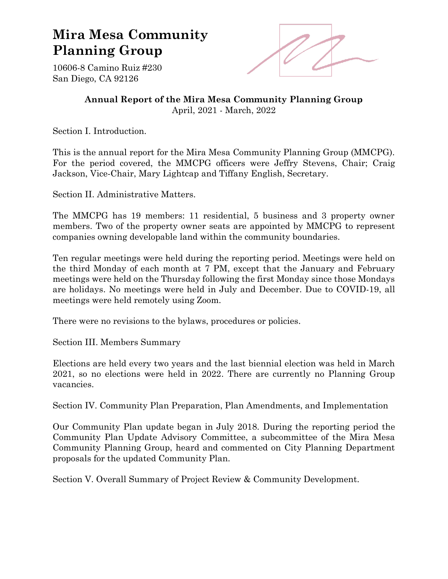## **Mira Mesa Community Planning Group**



10606-8 Camino Ruiz #230 San Diego, CA 92126

> **Annual Report of the Mira Mesa Community Planning Group** April, 2021 - March, 2022

Section I. Introduction.

This is the annual report for the Mira Mesa Community Planning Group (MMCPG). For the period covered, the MMCPG officers were Jeffry Stevens, Chair; Craig Jackson, Vice-Chair, Mary Lightcap and Tiffany English, Secretary.

Section II. Administrative Matters.

The MMCPG has 19 members: 11 residential, 5 business and 3 property owner members. Two of the property owner seats are appointed by MMCPG to represent companies owning developable land within the community boundaries.

Ten regular meetings were held during the reporting period. Meetings were held on the third Monday of each month at 7 PM, except that the January and February meetings were held on the Thursday following the first Monday since those Mondays are holidays. No meetings were held in July and December. Due to COVID-19, all meetings were held remotely using Zoom.

There were no revisions to the bylaws, procedures or policies.

Section III. Members Summary

Elections are held every two years and the last biennial election was held in March 2021, so no elections were held in 2022. There are currently no Planning Group vacancies.

Section IV. Community Plan Preparation, Plan Amendments, and Implementation

Our Community Plan update began in July 2018. During the reporting period the Community Plan Update Advisory Committee, a subcommittee of the Mira Mesa Community Planning Group, heard and commented on City Planning Department proposals for the updated Community Plan.

Section V. Overall Summary of Project Review & Community Development.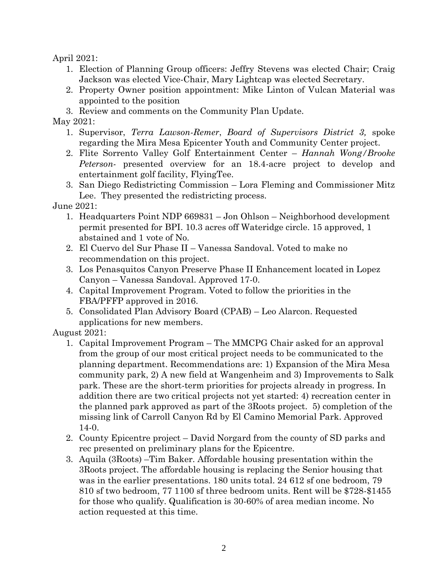April 2021:

- 1. Election of Planning Group officers: Jeffry Stevens was elected Chair; Craig Jackson was elected Vice-Chair, Mary Lightcap was elected Secretary.
- 2. Property Owner position appointment: Mike Linton of Vulcan Material was appointed to the position
- 3. Review and comments on the Community Plan Update.

## May 2021:

- 1. Supervisor, *Terra Lawson-Remer*, *Board of Supervisors District 3,* spoke regarding the Mira Mesa Epicenter Youth and Community Center project.
- 2. Flite Sorrento Valley Golf Entertainment Center *Hannah Wong/Brooke Peterson*- presented overview for an 18.4-acre project to develop and entertainment golf facility, FlyingTee.
- 3. San Diego Redistricting Commission Lora Fleming and Commissioner Mitz Lee. They presented the redistricting process.

June 2021:

- 1. Headquarters Point NDP 669831 Jon Ohlson Neighborhood development permit presented for BPI. 10.3 acres off Wateridge circle. 15 approved, 1 abstained and 1 vote of No.
- 2. El Cuervo del Sur Phase II Vanessa Sandoval. Voted to make no recommendation on this project.
- 3. Los Penasquitos Canyon Preserve Phase II Enhancement located in Lopez Canyon – Vanessa Sandoval. Approved 17-0.
- 4. Capital Improvement Program. Voted to follow the priorities in the FBA/PFFP approved in 2016.
- 5. Consolidated Plan Advisory Board (CPAB) Leo Alarcon. Requested applications for new members.

August 2021:

- 1. Capital Improvement Program The MMCPG Chair asked for an approval from the group of our most critical project needs to be communicated to the planning department. Recommendations are: 1) Expansion of the Mira Mesa community park, 2) A new field at Wangenheim and 3) Improvements to Salk park. These are the short-term priorities for projects already in progress. In addition there are two critical projects not yet started: 4) recreation center in the planned park approved as part of the 3Roots project. 5) completion of the missing link of Carroll Canyon Rd by El Camino Memorial Park. Approved 14-0.
- 2. County Epicentre project David Norgard from the county of SD parks and rec presented on preliminary plans for the Epicentre.
- 3. Aquila (3Roots) –Tim Baker. Affordable housing presentation within the 3Roots project. The affordable housing is replacing the Senior housing that was in the earlier presentations. 180 units total. 24 612 sf one bedroom, 79 810 sf two bedroom, 77 1100 sf three bedroom units. Rent will be \$728-\$1455 for those who qualify. Qualification is 30-60% of area median income. No action requested at this time.